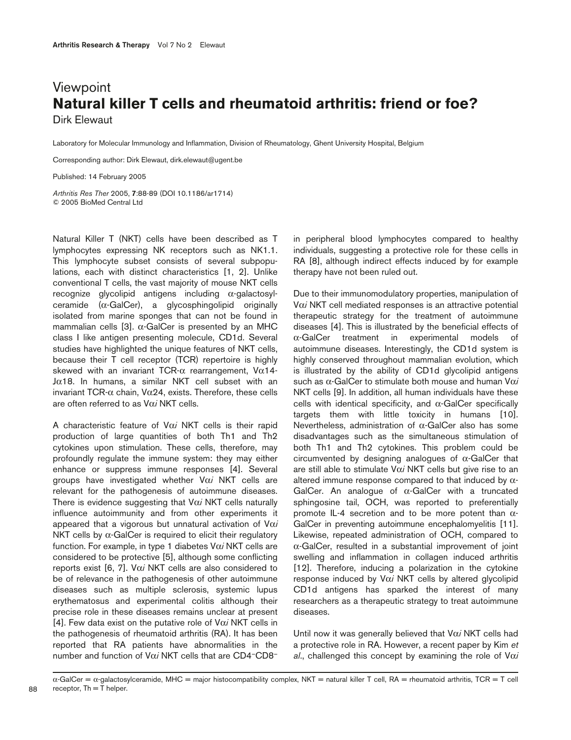## **Viewpoint Natural killer T cells and rheumatoid arthritis: friend or foe?** Dirk Elewaut

Laboratory for Molecular Immunology and Inflammation, Division of Rheumatology, Ghent University Hospital, Belgium

Corresponding author: Dirk Elewaut, dirk.elewaut@ugent.be

Published: 14 February 2005

*Arthritis Res Ther* 2005, **7**:88-89 (DOI 10.1186/ar1714) © 2005 BioMed Central Ltd

Natural Killer T (NKT) cells have been described as T lymphocytes expressing NK receptors such as NK1.1. This lymphocyte subset consists of several subpopulations, each with distinct characteristics [1, 2]. Unlike conventional T cells, the vast majority of mouse NKT cells recognize glycolipid antigens including α-galactosylceramide  $(\alpha$ -GalCer), a glycosphingolipid originally isolated from marine sponges that can not be found in mammalian cells [3].  $\alpha$ -GalCer is presented by an MHC class I like antigen presenting molecule, CD1d. Several studies have highlighted the unique features of NKT cells, because their T cell receptor (TCR) repertoire is highly skewed with an invariant TCR- $\alpha$  rearrangement, V $\alpha$ 14- $J\alpha$ 18. In humans, a similar NKT cell subset with an invariant TCR-α chain, Vα24, exists. Therefore, these cells are often referred to as Vα*i* NKT cells.

A characteristic feature of Vα*i* NKT cells is their rapid production of large quantities of both Th1 and Th2 cytokines upon stimulation. These cells, therefore, may profoundly regulate the immune system: they may either enhance or suppress immune responses [4]. Several groups have investigated whether Vα*i* NKT cells are relevant for the pathogenesis of autoimmune diseases. There is evidence suggesting that Vα*i* NKT cells naturally influence autoimmunity and from other experiments it appeared that a vigorous but unnatural activation of Vα*i* NKT cells by  $α$ -GalCer is required to elicit their regulatory function. For example, in type 1 diabetes Vα*i* NKT cells are considered to be protective [5], although some conflicting reports exist [6, 7]. Vα*i* NKT cells are also considered to be of relevance in the pathogenesis of other autoimmune diseases such as multiple sclerosis, systemic lupus erythematosus and experimental colitis although their precise role in these diseases remains unclear at present [4]. Few data exist on the putative role of Vα*i* NKT cells in the pathogenesis of rheumatoid arthritis (RA). It has been reported that RA patients have abnormalities in the number and function of Vα*i* NKT cells that are CD4–CD8–

in peripheral blood lymphocytes compared to healthy individuals, suggesting a protective role for these cells in RA [8], although indirect effects induced by for example therapy have not been ruled out.

Due to their immunomodulatory properties, manipulation of Vα*i* NKT cell mediated responses is an attractive potential therapeutic strategy for the treatment of autoimmune diseases [4]. This is illustrated by the beneficial effects of α-GalCer treatment in experimental models of autoimmune diseases. Interestingly, the CD1d system is highly conserved throughout mammalian evolution, which is illustrated by the ability of CD1d glycolipid antigens such as α-GalCer to stimulate both mouse and human Vα*i* NKT cells [9]. In addition, all human individuals have these cells with identical specificity, and α-GalCer specifically targets them with little toxicity in humans [10]. Nevertheless, administration of α-GalCer also has some disadvantages such as the simultaneous stimulation of both Th1 and Th2 cytokines. This problem could be circumvented by designing analogues of  $\alpha$ -GalCer that are still able to stimulate Vα*i* NKT cells but give rise to an altered immune response compared to that induced by  $\alpha$ -GalCer. An analogue of α-GalCer with a truncated sphingosine tail, OCH, was reported to preferentially promote IL-4 secretion and to be more potent than  $α-$ GalCer in preventing autoimmune encephalomyelitis [11]. Likewise, repeated administration of OCH, compared to α-GalCer, resulted in a substantial improvement of joint swelling and inflammation in collagen induced arthritis [12]. Therefore, inducing a polarization in the cytokine response induced by Vα*i* NKT cells by altered glycolipid CD1d antigens has sparked the interest of many researchers as a therapeutic strategy to treat autoimmune diseases.

Until now it was generally believed that Vα*i* NKT cells had a protective role in RA. However, a recent paper by Kim *et al*., challenged this concept by examining the role of Vα*i*